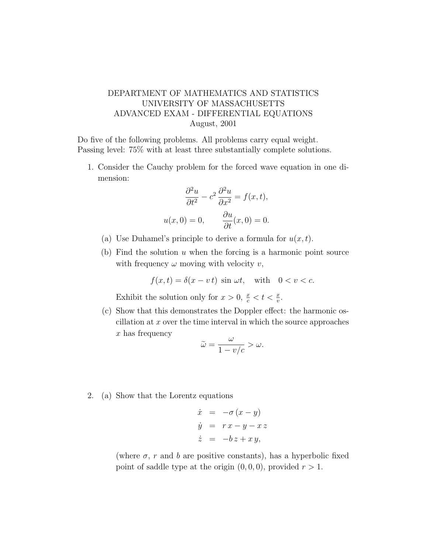## DEPARTMENT OF MATHEMATICS AND STATISTICS UNIVERSITY OF MASSACHUSETTS ADVANCED EXAM - DIFFERENTIAL EQUATIONS August, 2001

Do five of the following problems. All problems carry equal weight. Passing level: 75% with at least three substantially complete solutions.

1. Consider the Cauchy problem for the forced wave equation in one dimension:

$$
\frac{\partial^2 u}{\partial t^2} - c^2 \frac{\partial^2 u}{\partial x^2} = f(x, t),
$$
  
 
$$
u(x, 0) = 0, \qquad \frac{\partial u}{\partial t}(x, 0) = 0.
$$

- (a) Use Duhamel's principle to derive a formula for  $u(x, t)$ .
- (b) Find the solution  $u$  when the forcing is a harmonic point source with frequency  $\omega$  moving with velocity v,

$$
f(x,t) = \delta(x - vt) \sin \omega t, \quad \text{with} \quad 0 < v < c.
$$

Exhibit the solution only for  $x > 0$ ,  $\frac{x}{c} < t < \frac{x}{v}$ .

(c) Show that this demonstrates the Doppler effect: the harmonic oscillation at  $x$  over the time interval in which the source approaches  $x$  has frequency

$$
\widetilde{\omega} = \frac{\omega}{1 - v/c} > \omega.
$$

2. (a) Show that the Lorentz equations

$$
\dot{x} = -\sigma (x - y)
$$
  
\n
$$
\dot{y} = rx - y - xz
$$
  
\n
$$
\dot{z} = -bz + xy,
$$

(where  $\sigma$ , r and b are positive constants), has a hyperbolic fixed point of saddle type at the origin  $(0, 0, 0)$ , provided  $r > 1$ .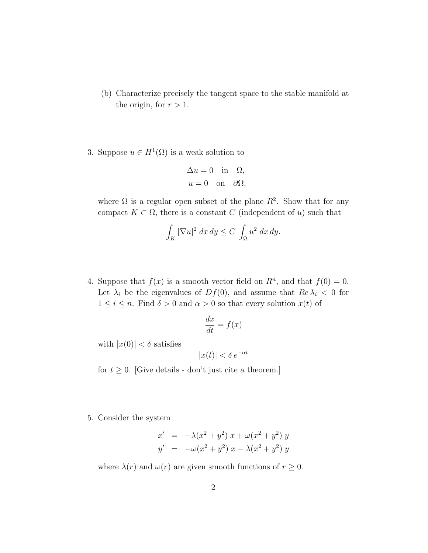- (b) Characterize precisely the tangent space to the stable manifold at the origin, for  $r > 1$ .
- 3. Suppose  $u \in H^1(\Omega)$  is a weak solution to

$$
\Delta u = 0 \text{ in } \Omega,
$$
  

$$
u = 0 \text{ on } \partial\Omega,
$$

where  $\Omega$  is a regular open subset of the plane  $R^2$ . Show that for any compact  $K \subset \Omega$ , there is a constant C (independent of u) such that

$$
\int_K |\nabla u|^2 \, dx \, dy \le C \int_\Omega u^2 \, dx \, dy.
$$

4. Suppose that  $f(x)$  is a smooth vector field on  $R<sup>n</sup>$ , and that  $f(0) = 0$ . Let  $\lambda_i$  be the eigenvalues of  $Df(0)$ , and assume that  $Re \lambda_i < 0$  for  $1 \leq i \leq n$ . Find  $\delta > 0$  and  $\alpha > 0$  so that every solution  $x(t)$  of

$$
\frac{dx}{dt} = f(x)
$$

with  $|x(0)| < \delta$  satisfies

$$
|x(t)| < \delta \, e^{-\alpha t}
$$

for  $t \geq 0$ . [Give details - don't just cite a theorem.]

5. Consider the system

$$
x' = -\lambda(x^2 + y^2) x + \omega(x^2 + y^2) y
$$
  

$$
y' = -\omega(x^2 + y^2) x - \lambda(x^2 + y^2) y
$$

where  $\lambda(r)$  and  $\omega(r)$  are given smooth functions of  $r \geq 0$ .